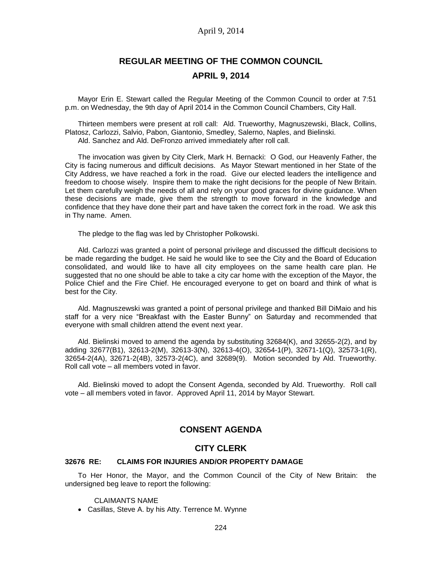# **REGULAR MEETING OF THE COMMON COUNCIL APRIL 9, 2014**

Mayor Erin E. Stewart called the Regular Meeting of the Common Council to order at 7:51 p.m. on Wednesday, the 9th day of April 2014 in the Common Council Chambers, City Hall.

Thirteen members were present at roll call: Ald. Trueworthy, Magnuszewski, Black, Collins, Platosz, Carlozzi, Salvio, Pabon, Giantonio, Smedley, Salerno, Naples, and Bielinski. Ald. Sanchez and Ald. DeFronzo arrived immediately after roll call.

The invocation was given by City Clerk, Mark H. Bernacki: O God, our Heavenly Father, the City is facing numerous and difficult decisions. As Mayor Stewart mentioned in her State of the City Address, we have reached a fork in the road. Give our elected leaders the intelligence and freedom to choose wisely. Inspire them to make the right decisions for the people of New Britain. Let them carefully weigh the needs of all and rely on your good graces for divine guidance. When these decisions are made, give them the strength to move forward in the knowledge and confidence that they have done their part and have taken the correct fork in the road. We ask this in Thy name. Amen.

The pledge to the flag was led by Christopher Polkowski.

Ald. Carlozzi was granted a point of personal privilege and discussed the difficult decisions to be made regarding the budget. He said he would like to see the City and the Board of Education consolidated, and would like to have all city employees on the same health care plan. He suggested that no one should be able to take a city car home with the exception of the Mayor, the Police Chief and the Fire Chief. He encouraged everyone to get on board and think of what is best for the City.

Ald. Magnuszewski was granted a point of personal privilege and thanked Bill DiMaio and his staff for a very nice "Breakfast with the Easter Bunny" on Saturday and recommended that everyone with small children attend the event next year.

Ald. Bielinski moved to amend the agenda by substituting 32684(K), and 32655-2(2), and by adding 32677(B1), 32613-2(M), 32613-3(N), 32613-4(O), 32654-1(P), 32671-1(Q), 32573-1(R), 32654-2(4A), 32671-2(4B), 32573-2(4C), and 32689(9). Motion seconded by Ald. Trueworthy. Roll call vote – all members voted in favor.

Ald. Bielinski moved to adopt the Consent Agenda, seconded by Ald. Trueworthy. Roll call vote – all members voted in favor. Approved April 11, 2014 by Mayor Stewart.

# **CONSENT AGENDA**

### **CITY CLERK**

#### **32676 RE: CLAIMS FOR INJURIES AND/OR PROPERTY DAMAGE**

To Her Honor, the Mayor, and the Common Council of the City of New Britain: the undersigned beg leave to report the following:

CLAIMANTS NAME

Casillas, Steve A. by his Atty. Terrence M. Wynne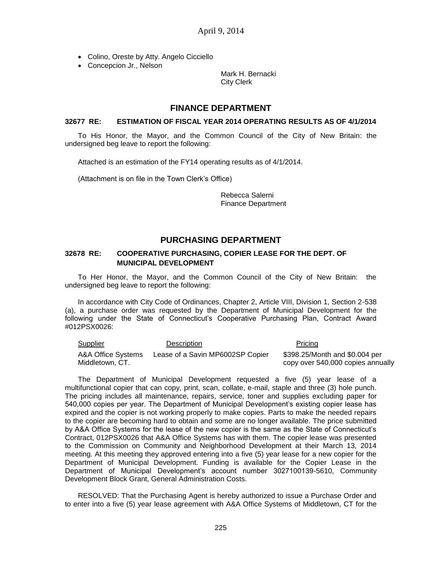- Colino, Oreste by Atty. Angelo Cicciello
- Concepcion Jr., Nelson

Mark H. Bernacki City Clerk

### **FINANCE DEPARTMENT**

#### **32677 RE: ESTIMATION OF FISCAL YEAR 2014 OPERATING RESULTS AS OF 4/1/2014**

To His Honor, the Mayor, and the Common Council of the City of New Britain: the undersigned beg leave to report the following:

Attached is an estimation of the FY14 operating results as of 4/1/2014.

(Attachment is on file in the Town Clerk's Office)

Rebecca Salerni Finance Department

# **PURCHASING DEPARTMENT**

### **32678 RE: COOPERATIVE PURCHASING, COPIER LEASE FOR THE DEPT. OF MUNICIPAL DEVELOPMENT**

To Her Honor, the Mayor, and the Common Council of the City of New Britain: the undersigned beg leave to report the following:

In accordance with City Code of Ordinances, Chapter 2, Article VIII, Division 1, Section 2-538 (a), a purchase order was requested by the Department of Municipal Development for the following under the State of Connecticut's Cooperative Purchasing Plan, Contract Award #012PSX0026:

Supplier Description Description A&A Office Systems Middletown, CT. Lease of a Savin MP6002SP Copier \$398.25/Month and \$0.004 per copy over 540,000 copies annually

The Department of Municipal Development requested a five (5) year lease of a multifunctional copier that can copy, print, scan, collate, e-mail, staple and three (3) hole punch. The pricing includes all maintenance, repairs, service, toner and supplies excluding paper for 540,000 copies per year. The Department of Municipal Development's existing copier lease has expired and the copier is not working properly to make copies. Parts to make the needed repairs to the copier are becoming hard to obtain and some are no longer available. The price submitted by A&A Office Systems for the lease of the new copier is the same as the State of Connecticut's Contract, 012PSX0026 that A&A Office Systems has with them. The copier lease was presented to the Commission on Community and Neighborhood Development at their March 13, 2014 meeting. At this meeting they approved entering into a five (5) year lease for a new copier for the Department of Municipal Development. Funding is available for the Copier Lease in the Department of Municipal Development's account number 3027100139-5610, Community Development Block Grant, General Administration Costs.

RESOLVED: That the Purchasing Agent is hereby authorized to issue a Purchase Order and to enter into a five (5) year lease agreement with A&A Office Systems of Middletown, CT for the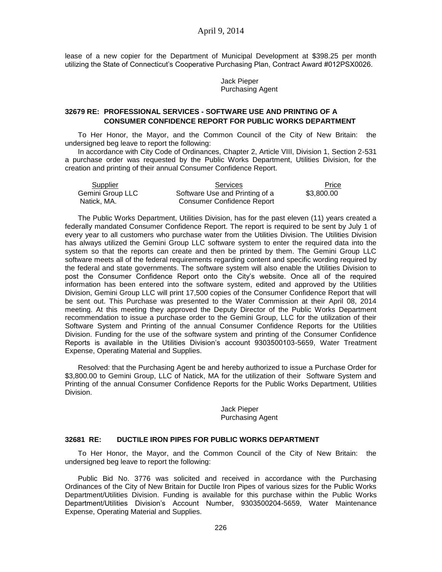lease of a new copier for the Department of Municipal Development at \$398.25 per month utilizing the State of Connecticut's Cooperative Purchasing Plan, Contract Award #012PSX0026.

> Jack Pieper Purchasing Agent

### **32679 RE: PROFESSIONAL SERVICES - SOFTWARE USE AND PRINTING OF A CONSUMER CONFIDENCE REPORT FOR PUBLIC WORKS DEPARTMENT**

To Her Honor, the Mayor, and the Common Council of the City of New Britain: the undersigned beg leave to report the following:

In accordance with City Code of Ordinances, Chapter 2, Article VIII, Division 1, Section 2-531 a purchase order was requested by the Public Works Department, Utilities Division, for the creation and printing of their annual Consumer Confidence Report.

| Supplier         | Services                       | Price      |
|------------------|--------------------------------|------------|
| Gemini Group LLC | Software Use and Printing of a | \$3,800.00 |
| Natick, MA.      | Consumer Confidence Report     |            |

The Public Works Department, Utilities Division, has for the past eleven (11) years created a federally mandated Consumer Confidence Report. The report is required to be sent by July 1 of every year to all customers who purchase water from the Utilities Division. The Utilities Division has always utilized the Gemini Group LLC software system to enter the required data into the system so that the reports can create and then be printed by them. The Gemini Group LLC software meets all of the federal requirements regarding content and specific wording required by the federal and state governments. The software system will also enable the Utilities Division to post the Consumer Confidence Report onto the City's website. Once all of the required information has been entered into the software system, edited and approved by the Utilities Division, Gemini Group LLC will print 17,500 copies of the Consumer Confidence Report that will be sent out. This Purchase was presented to the Water Commission at their April 08, 2014 meeting. At this meeting they approved the Deputy Director of the Public Works Department recommendation to issue a purchase order to the Gemini Group, LLC for the utilization of their Software System and Printing of the annual Consumer Confidence Reports for the Utilities Division. Funding for the use of the software system and printing of the Consumer Confidence Reports is available in the Utilities Division's account 9303500103-5659, Water Treatment Expense, Operating Material and Supplies.

Resolved: that the Purchasing Agent be and hereby authorized to issue a Purchase Order for \$3,800.00 to Gemini Group, LLC of Natick, MA for the utilization of their Software System and Printing of the annual Consumer Confidence Reports for the Public Works Department, Utilities Division.

> Jack Pieper Purchasing Agent

#### **32681 RE: DUCTILE IRON PIPES FOR PUBLIC WORKS DEPARTMENT**

To Her Honor, the Mayor, and the Common Council of the City of New Britain: the undersigned beg leave to report the following:

Public Bid No. 3776 was solicited and received in accordance with the Purchasing Ordinances of the City of New Britain for Ductile Iron Pipes of various sizes for the Public Works Department/Utilities Division. Funding is available for this purchase within the Public Works Department/Utilities Division's Account Number, 9303500204-5659, Water Maintenance Expense, Operating Material and Supplies.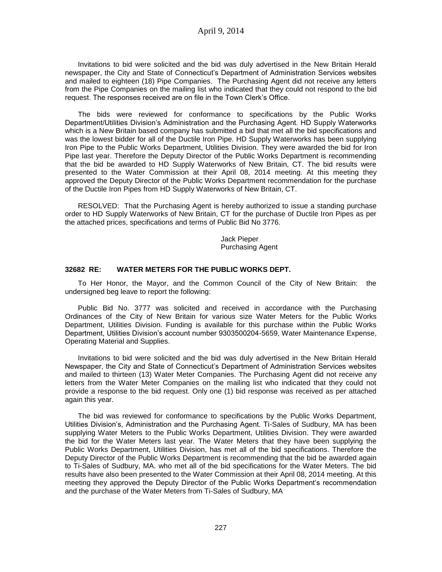Invitations to bid were solicited and the bid was duly advertised in the New Britain Herald newspaper, the City and State of Connecticut's Department of Administration Services websites and mailed to eighteen (18) Pipe Companies. The Purchasing Agent did not receive any letters from the Pipe Companies on the mailing list who indicated that they could not respond to the bid request. The responses received are on file in the Town Clerk's Office.

The bids were reviewed for conformance to specifications by the Public Works Department/Utilities Division's Administration and the Purchasing Agent. HD Supply Waterworks which is a New Britain based company has submitted a bid that met all the bid specifications and was the lowest bidder for all of the Ductile Iron Pipe. HD Supply Waterworks has been supplying Iron Pipe to the Public Works Department, Utilities Division. They were awarded the bid for Iron Pipe last year. Therefore the Deputy Director of the Public Works Department is recommending that the bid be awarded to HD Supply Waterworks of New Britain, CT. The bid results were presented to the Water Commission at their April 08, 2014 meeting. At this meeting they approved the Deputy Director of the Public Works Department recommendation for the purchase of the Ductile Iron Pipes from HD Supply Waterworks of New Britain, CT.

RESOLVED: That the Purchasing Agent is hereby authorized to issue a standing purchase order to HD Supply Waterworks of New Britain, CT for the purchase of Ductile Iron Pipes as per the attached prices, specifications and terms of Public Bid No 3776.

> Jack Pieper Purchasing Agent

#### **32682 RE: WATER METERS FOR THE PUBLIC WORKS DEPT.**

To Her Honor, the Mayor, and the Common Council of the City of New Britain: the undersigned beg leave to report the following:

Public Bid No. 3777 was solicited and received in accordance with the Purchasing Ordinances of the City of New Britain for various size Water Meters for the Public Works Department, Utilities Division. Funding is available for this purchase within the Public Works Department, Utilities Division's account number 9303500204-5659, Water Maintenance Expense, Operating Material and Supplies.

Invitations to bid were solicited and the bid was duly advertised in the New Britain Herald Newspaper, the City and State of Connecticut's Department of Administration Services websites and mailed to thirteen (13) Water Meter Companies. The Purchasing Agent did not receive any letters from the Water Meter Companies on the mailing list who indicated that they could not provide a response to the bid request. Only one (1) bid response was received as per attached again this year.

The bid was reviewed for conformance to specifications by the Public Works Department, Utilities Division's, Administration and the Purchasing Agent. Ti-Sales of Sudbury, MA has been supplying Water Meters to the Public Works Department, Utilities Division. They were awarded the bid for the Water Meters last year. The Water Meters that they have been supplying the Public Works Department, Utilities Division, has met all of the bid specifications. Therefore the Deputy Director of the Public Works Department is recommending that the bid be awarded again to Ti-Sales of Sudbury, MA. who met all of the bid specifications for the Water Meters. The bid results have also been presented to the Water Commission at their April 08, 2014 meeting. At this meeting they approved the Deputy Director of the Public Works Department's recommendation and the purchase of the Water Meters from Ti-Sales of Sudbury, MA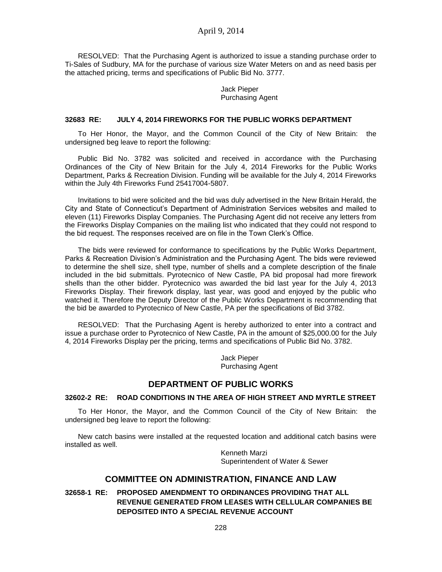RESOLVED: That the Purchasing Agent is authorized to issue a standing purchase order to Ti-Sales of Sudbury, MA for the purchase of various size Water Meters on and as need basis per the attached pricing, terms and specifications of Public Bid No. 3777.

> Jack Pieper Purchasing Agent

#### **32683 RE: JULY 4, 2014 FIREWORKS FOR THE PUBLIC WORKS DEPARTMENT**

To Her Honor, the Mayor, and the Common Council of the City of New Britain: the undersigned beg leave to report the following:

Public Bid No. 3782 was solicited and received in accordance with the Purchasing Ordinances of the City of New Britain for the July 4, 2014 Fireworks for the Public Works Department, Parks & Recreation Division. Funding will be available for the July 4, 2014 Fireworks within the July 4th Fireworks Fund 25417004-5807.

Invitations to bid were solicited and the bid was duly advertised in the New Britain Herald, the City and State of Connecticut's Department of Administration Services websites and mailed to eleven (11) Fireworks Display Companies. The Purchasing Agent did not receive any letters from the Fireworks Display Companies on the mailing list who indicated that they could not respond to the bid request. The responses received are on file in the Town Clerk's Office.

The bids were reviewed for conformance to specifications by the Public Works Department, Parks & Recreation Division's Administration and the Purchasing Agent. The bids were reviewed to determine the shell size, shell type, number of shells and a complete description of the finale included in the bid submittals. Pyrotecnico of New Castle, PA bid proposal had more firework shells than the other bidder. Pyrotecnico was awarded the bid last year for the July 4, 2013 Fireworks Display. Their firework display, last year, was good and enjoyed by the public who watched it. Therefore the Deputy Director of the Public Works Department is recommending that the bid be awarded to Pyrotecnico of New Castle, PA per the specifications of Bid 3782.

RESOLVED: That the Purchasing Agent is hereby authorized to enter into a contract and issue a purchase order to Pyrotecnico of New Castle, PA in the amount of \$25,000.00 for the July 4, 2014 Fireworks Display per the pricing, terms and specifications of Public Bid No. 3782.

> Jack Pieper Purchasing Agent

# **DEPARTMENT OF PUBLIC WORKS**

### **32602-2 RE: ROAD CONDITIONS IN THE AREA OF HIGH STREET AND MYRTLE STREET**

To Her Honor, the Mayor, and the Common Council of the City of New Britain: the undersigned beg leave to report the following:

New catch basins were installed at the requested location and additional catch basins were installed as well.

> Kenneth Marzi Superintendent of Water & Sewer

### **COMMITTEE ON ADMINISTRATION, FINANCE AND LAW**

**32658-1 RE: PROPOSED AMENDMENT TO ORDINANCES PROVIDING THAT ALL REVENUE GENERATED FROM LEASES WITH CELLULAR COMPANIES BE DEPOSITED INTO A SPECIAL REVENUE ACCOUNT**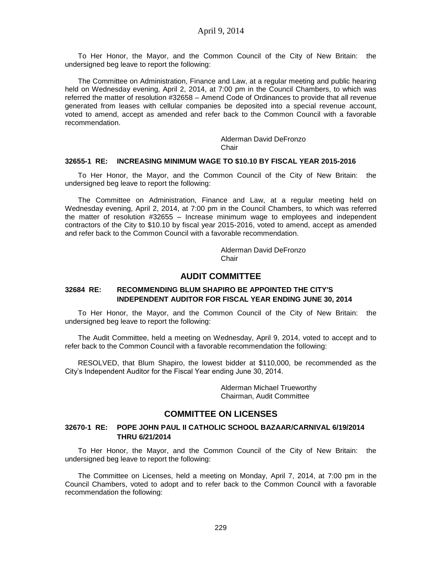To Her Honor, the Mayor, and the Common Council of the City of New Britain: the undersigned beg leave to report the following:

The Committee on Administration, Finance and Law, at a regular meeting and public hearing held on Wednesday evening, April 2, 2014, at 7:00 pm in the Council Chambers, to which was referred the matter of resolution #32658 – Amend Code of Ordinances to provide that all revenue generated from leases with cellular companies be deposited into a special revenue account, voted to amend, accept as amended and refer back to the Common Council with a favorable recommendation.

> Alderman David DeFronzo Chair

#### **32655-1 RE: INCREASING MINIMUM WAGE TO \$10.10 BY FISCAL YEAR 2015-2016**

To Her Honor, the Mayor, and the Common Council of the City of New Britain: the undersigned beg leave to report the following:

The Committee on Administration, Finance and Law, at a regular meeting held on Wednesday evening, April 2, 2014, at 7:00 pm in the Council Chambers, to which was referred the matter of resolution #32655 – Increase minimum wage to employees and independent contractors of the City to \$10.10 by fiscal year 2015-2016, voted to amend, accept as amended and refer back to the Common Council with a favorable recommendation.

> Alderman David DeFronzo **Chair**

### **AUDIT COMMITTEE**

### **32684 RE: RECOMMENDING BLUM SHAPIRO BE APPOINTED THE CITY'S INDEPENDENT AUDITOR FOR FISCAL YEAR ENDING JUNE 30, 2014**

To Her Honor, the Mayor, and the Common Council of the City of New Britain: the undersigned beg leave to report the following:

The Audit Committee, held a meeting on Wednesday, April 9, 2014, voted to accept and to refer back to the Common Council with a favorable recommendation the following:

RESOLVED, that Blum Shapiro, the lowest bidder at \$110,000, be recommended as the City's Independent Auditor for the Fiscal Year ending June 30, 2014.

> Alderman Michael Trueworthy Chairman, Audit Committee

### **COMMITTEE ON LICENSES**

### **32670-1 RE: POPE JOHN PAUL II CATHOLIC SCHOOL BAZAAR/CARNIVAL 6/19/2014 THRU 6/21/2014**

To Her Honor, the Mayor, and the Common Council of the City of New Britain: the undersigned beg leave to report the following:

The Committee on Licenses, held a meeting on Monday, April 7, 2014, at 7:00 pm in the Council Chambers, voted to adopt and to refer back to the Common Council with a favorable recommendation the following: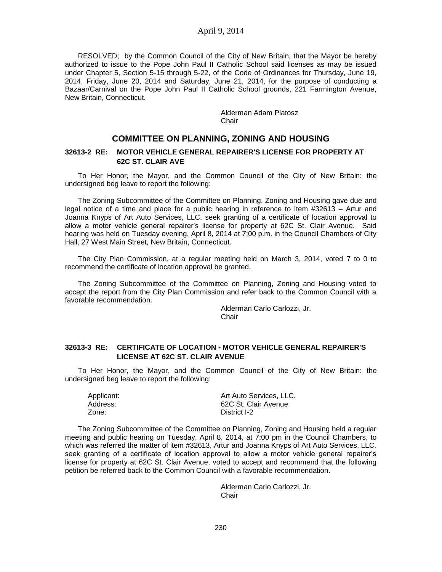RESOLVED; by the Common Council of the City of New Britain, that the Mayor be hereby authorized to issue to the Pope John Paul II Catholic School said licenses as may be issued under Chapter 5, Section 5-15 through 5-22, of the Code of Ordinances for Thursday, June 19, 2014, Friday, June 20, 2014 and Saturday, June 21, 2014, for the purpose of conducting a Bazaar/Carnival on the Pope John Paul II Catholic School grounds, 221 Farmington Avenue, New Britain, Connecticut.

> Alderman Adam Platosz **Chair**

# **COMMITTEE ON PLANNING, ZONING AND HOUSING**

### **32613-2 RE: MOTOR VEHICLE GENERAL REPAIRER'S LICENSE FOR PROPERTY AT 62C ST. CLAIR AVE**

To Her Honor, the Mayor, and the Common Council of the City of New Britain: the undersigned beg leave to report the following:

The Zoning Subcommittee of the Committee on Planning, Zoning and Housing gave due and legal notice of a time and place for a public hearing in reference to Item #32613 – Artur and Joanna Knyps of Art Auto Services, LLC. seek granting of a certificate of location approval to allow a motor vehicle general repairer's license for property at 62C St. Clair Avenue. Said hearing was held on Tuesday evening, April 8, 2014 at 7:00 p.m. in the Council Chambers of City Hall, 27 West Main Street, New Britain, Connecticut.

The City Plan Commission, at a regular meeting held on March 3, 2014, voted 7 to 0 to recommend the certificate of location approval be granted.

The Zoning Subcommittee of the Committee on Planning, Zoning and Housing voted to accept the report from the City Plan Commission and refer back to the Common Council with a favorable recommendation.

> Alderman Carlo Carlozzi, Jr. **Chair**

### **32613-3 RE: CERTIFICATE OF LOCATION - MOTOR VEHICLE GENERAL REPAIRER'S LICENSE AT 62C ST. CLAIR AVENUE**

To Her Honor, the Mayor, and the Common Council of the City of New Britain: the undersigned beg leave to report the following:

| Applicant: | Art Auto Services, LLC. |
|------------|-------------------------|
| Address:   | 62C St. Clair Avenue    |
| Zone:      | District I-2            |

The Zoning Subcommittee of the Committee on Planning, Zoning and Housing held a regular meeting and public hearing on Tuesday, April 8, 2014, at 7:00 pm in the Council Chambers, to which was referred the matter of item #32613, Artur and Joanna Knyps of Art Auto Services, LLC. seek granting of a certificate of location approval to allow a motor vehicle general repairer's license for property at 62C St. Clair Avenue, voted to accept and recommend that the following petition be referred back to the Common Council with a favorable recommendation.

> Alderman Carlo Carlozzi, Jr. Chair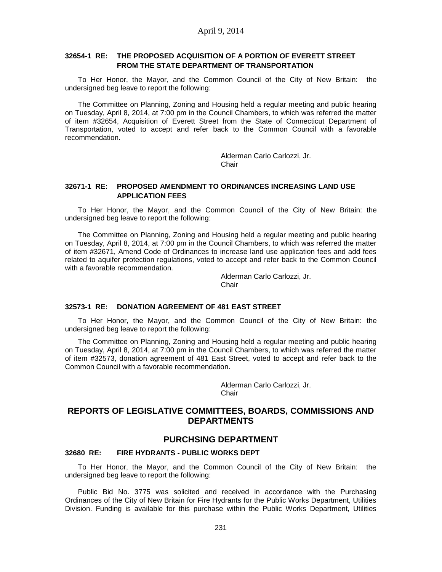### **32654-1 RE: THE PROPOSED ACQUISITION OF A PORTION OF EVERETT STREET FROM THE STATE DEPARTMENT OF TRANSPORTATION**

To Her Honor, the Mayor, and the Common Council of the City of New Britain: the undersigned beg leave to report the following:

The Committee on Planning, Zoning and Housing held a regular meeting and public hearing on Tuesday, April 8, 2014, at 7:00 pm in the Council Chambers, to which was referred the matter of item #32654, Acquisition of Everett Street from the State of Connecticut Department of Transportation, voted to accept and refer back to the Common Council with a favorable recommendation.

> Alderman Carlo Carlozzi, Jr. **Chair**

### **32671-1 RE: PROPOSED AMENDMENT TO ORDINANCES INCREASING LAND USE APPLICATION FEES**

To Her Honor, the Mayor, and the Common Council of the City of New Britain: the undersigned beg leave to report the following:

The Committee on Planning, Zoning and Housing held a regular meeting and public hearing on Tuesday, April 8, 2014, at 7:00 pm in the Council Chambers, to which was referred the matter of item #32671, Amend Code of Ordinances to increase land use application fees and add fees related to aquifer protection regulations, voted to accept and refer back to the Common Council with a favorable recommendation.

> Alderman Carlo Carlozzi, Jr. Chair

### **32573-1 RE: DONATION AGREEMENT OF 481 EAST STREET**

To Her Honor, the Mayor, and the Common Council of the City of New Britain: the undersigned beg leave to report the following:

The Committee on Planning, Zoning and Housing held a regular meeting and public hearing on Tuesday, April 8, 2014, at 7:00 pm in the Council Chambers, to which was referred the matter of item #32573, donation agreement of 481 East Street, voted to accept and refer back to the Common Council with a favorable recommendation.

> Alderman Carlo Carlozzi, Jr. **Chair**

# **REPORTS OF LEGISLATIVE COMMITTEES, BOARDS, COMMISSIONS AND DEPARTMENTS**

#### **PURCHSING DEPARTMENT**

### **32680 RE: FIRE HYDRANTS - PUBLIC WORKS DEPT**

To Her Honor, the Mayor, and the Common Council of the City of New Britain: the undersigned beg leave to report the following:

Public Bid No. 3775 was solicited and received in accordance with the Purchasing Ordinances of the City of New Britain for Fire Hydrants for the Public Works Department, Utilities Division. Funding is available for this purchase within the Public Works Department, Utilities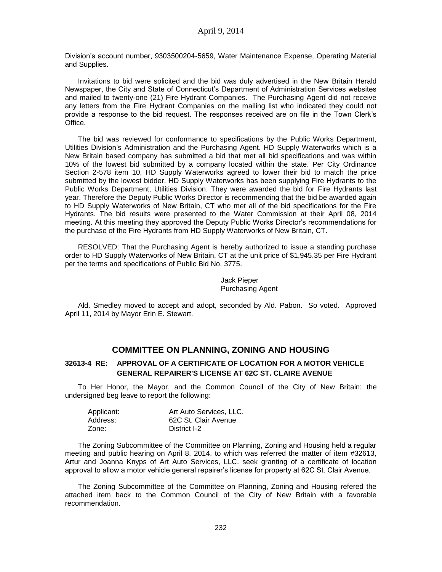Division's account number, 9303500204-5659, Water Maintenance Expense, Operating Material and Supplies.

Invitations to bid were solicited and the bid was duly advertised in the New Britain Herald Newspaper, the City and State of Connecticut's Department of Administration Services websites and mailed to twenty-one (21) Fire Hydrant Companies. The Purchasing Agent did not receive any letters from the Fire Hydrant Companies on the mailing list who indicated they could not provide a response to the bid request. The responses received are on file in the Town Clerk's Office.

The bid was reviewed for conformance to specifications by the Public Works Department, Utilities Division's Administration and the Purchasing Agent. HD Supply Waterworks which is a New Britain based company has submitted a bid that met all bid specifications and was within 10% of the lowest bid submitted by a company located within the state. Per City Ordinance Section 2-578 item 10, HD Supply Waterworks agreed to lower their bid to match the price submitted by the lowest bidder. HD Supply Waterworks has been supplying Fire Hydrants to the Public Works Department, Utilities Division. They were awarded the bid for Fire Hydrants last year. Therefore the Deputy Public Works Director is recommending that the bid be awarded again to HD Supply Waterworks of New Britain, CT who met all of the bid specifications for the Fire Hydrants. The bid results were presented to the Water Commission at their April 08, 2014 meeting. At this meeting they approved the Deputy Public Works Director's recommendations for the purchase of the Fire Hydrants from HD Supply Waterworks of New Britain, CT.

RESOLVED: That the Purchasing Agent is hereby authorized to issue a standing purchase order to HD Supply Waterworks of New Britain, CT at the unit price of \$1,945.35 per Fire Hydrant per the terms and specifications of Public Bid No. 3775.

> Jack Pieper Purchasing Agent

Ald. Smedley moved to accept and adopt, seconded by Ald. Pabon. So voted. Approved April 11, 2014 by Mayor Erin E. Stewart.

# **COMMITTEE ON PLANNING, ZONING AND HOUSING**

### **32613-4 RE: APPROVAL OF A CERTIFICATE OF LOCATION FOR A MOTOR VEHICLE GENERAL REPAIRER'S LICENSE AT 62C ST. CLAIRE AVENUE**

To Her Honor, the Mayor, and the Common Council of the City of New Britain: the undersigned beg leave to report the following:

| Applicant: | Art Auto Services, LLC. |
|------------|-------------------------|
| Address:   | 62C St. Clair Avenue    |
| Zone:      | District I-2            |

The Zoning Subcommittee of the Committee on Planning, Zoning and Housing held a regular meeting and public hearing on April 8, 2014, to which was referred the matter of item #32613, Artur and Joanna Knyps of Art Auto Services, LLC. seek granting of a certificate of location approval to allow a motor vehicle general repairer's license for property at 62C St. Clair Avenue.

The Zoning Subcommittee of the Committee on Planning, Zoning and Housing refered the attached item back to the Common Council of the City of New Britain with a favorable recommendation.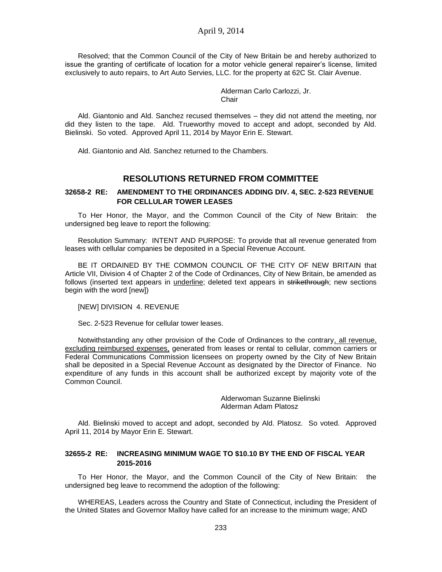Resolved; that the Common Council of the City of New Britain be and hereby authorized to issue the granting of certificate of location for a motor vehicle general repairer's license, limited exclusively to auto repairs, to Art Auto Servies, LLC. for the property at 62C St. Clair Avenue.

> Alderman Carlo Carlozzi, Jr. Chair

Ald. Giantonio and Ald. Sanchez recused themselves – they did not attend the meeting, nor did they listen to the tape. Ald. Trueworthy moved to accept and adopt, seconded by Ald. Bielinski. So voted. Approved April 11, 2014 by Mayor Erin E. Stewart.

Ald. Giantonio and Ald. Sanchez returned to the Chambers.

# **RESOLUTIONS RETURNED FROM COMMITTEE**

### **32658-2 RE: AMENDMENT TO THE ORDINANCES ADDING DIV. 4, SEC. 2-523 REVENUE FOR CELLULAR TOWER LEASES**

To Her Honor, the Mayor, and the Common Council of the City of New Britain: the undersigned beg leave to report the following:

Resolution Summary: INTENT AND PURPOSE: To provide that all revenue generated from leases with cellular companies be deposited in a Special Revenue Account.

BE IT ORDAINED BY THE COMMON COUNCIL OF THE CITY OF NEW BRITAIN that Article VII, Division 4 of Chapter 2 of the Code of Ordinances, City of New Britain, be amended as follows (inserted text appears in *underline*; deleted text appears in strikethrough; new sections begin with the word [new])

[NEW] DIVISION 4. REVENUE

Sec. 2-523 Revenue for cellular tower leases.

Notwithstanding any other provision of the Code of Ordinances to the contrary, all revenue, excluding reimbursed expenses, generated from leases or rental to cellular, common carriers or Federal Communications Commission licensees on property owned by the City of New Britain shall be deposited in a Special Revenue Account as designated by the Director of Finance. No expenditure of any funds in this account shall be authorized except by majority vote of the Common Council.

> Alderwoman Suzanne Bielinski Alderman Adam Platosz

Ald. Bielinski moved to accept and adopt, seconded by Ald. Platosz. So voted. Approved April 11, 2014 by Mayor Erin E. Stewart.

### **32655-2 RE: INCREASING MINIMUM WAGE TO \$10.10 BY THE END OF FISCAL YEAR 2015-2016**

To Her Honor, the Mayor, and the Common Council of the City of New Britain: the undersigned beg leave to recommend the adoption of the following:

WHEREAS, Leaders across the Country and State of Connecticut, including the President of the United States and Governor Malloy have called for an increase to the minimum wage; AND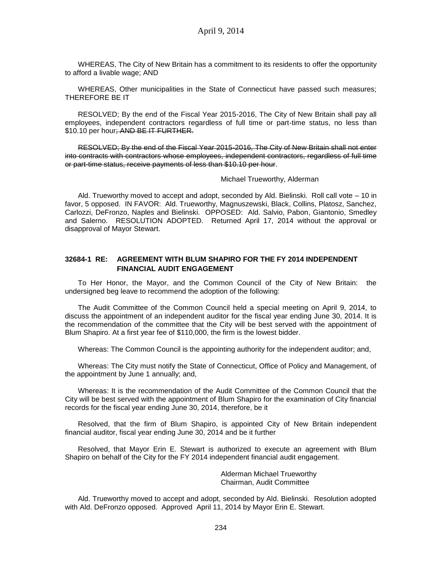WHEREAS, The City of New Britain has a commitment to its residents to offer the opportunity to afford a livable wage; AND

WHEREAS, Other municipalities in the State of Connecticut have passed such measures; THEREFORE BE IT

RESOLVED; By the end of the Fiscal Year 2015-2016, The City of New Britain shall pay all employees, independent contractors regardless of full time or part-time status, no less than \$10.10 per hour<del>; AND BE IT FURTHER.</del>

RESOLVED; By the end of the Fiscal Year 2015-2016, The City of New Britain shall not enter into contracts with contractors whose employees, independent contractors, regardless of full time or part-time status, receive payments of less than \$10.10 per hour.

#### Michael Trueworthy, Alderman

Ald. Trueworthy moved to accept and adopt, seconded by Ald. Bielinski. Roll call vote – 10 in favor, 5 opposed. IN FAVOR: Ald. Trueworthy, Magnuszewski, Black, Collins, Platosz, Sanchez, Carlozzi, DeFronzo, Naples and Bielinski. OPPOSED: Ald. Salvio, Pabon, Giantonio, Smedley and Salerno. RESOLUTION ADOPTED. Returned April 17, 2014 without the approval or disapproval of Mayor Stewart.

#### **32684-1 RE: AGREEMENT WITH BLUM SHAPIRO FOR THE FY 2014 INDEPENDENT FINANCIAL AUDIT ENGAGEMENT**

To Her Honor, the Mayor, and the Common Council of the City of New Britain: the undersigned beg leave to recommend the adoption of the following:

The Audit Committee of the Common Council held a special meeting on April 9, 2014, to discuss the appointment of an independent auditor for the fiscal year ending June 30, 2014. It is the recommendation of the committee that the City will be best served with the appointment of Blum Shapiro. At a first year fee of \$110,000, the firm is the lowest bidder.

Whereas: The Common Council is the appointing authority for the independent auditor; and,

Whereas: The City must notify the State of Connecticut, Office of Policy and Management, of the appointment by June 1 annually; and,

Whereas: It is the recommendation of the Audit Committee of the Common Council that the City will be best served with the appointment of Blum Shapiro for the examination of City financial records for the fiscal year ending June 30, 2014, therefore, be it

Resolved, that the firm of Blum Shapiro, is appointed City of New Britain independent financial auditor, fiscal year ending June 30, 2014 and be it further

Resolved, that Mayor Erin E. Stewart is authorized to execute an agreement with Blum Shapiro on behalf of the City for the FY 2014 independent financial audit engagement.

> Alderman Michael Trueworthy Chairman, Audit Committee

Ald. Trueworthy moved to accept and adopt, seconded by Ald. Bielinski. Resolution adopted with Ald. DeFronzo opposed. Approved April 11, 2014 by Mayor Erin E. Stewart.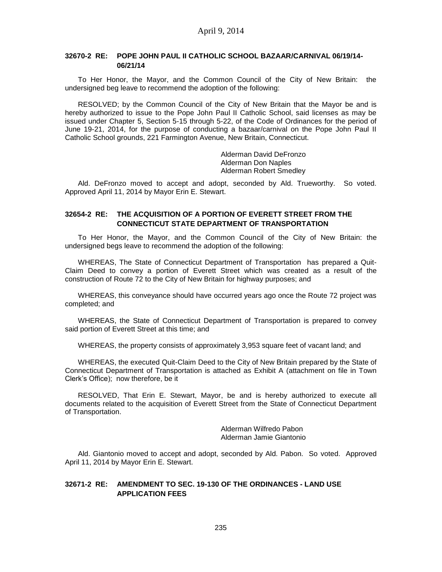### **32670-2 RE: POPE JOHN PAUL II CATHOLIC SCHOOL BAZAAR/CARNIVAL 06/19/14- 06/21/14**

To Her Honor, the Mayor, and the Common Council of the City of New Britain: the undersigned beg leave to recommend the adoption of the following:

RESOLVED; by the Common Council of the City of New Britain that the Mayor be and is hereby authorized to issue to the Pope John Paul II Catholic School, said licenses as may be issued under Chapter 5, Section 5-15 through 5-22, of the Code of Ordinances for the period of June 19-21, 2014, for the purpose of conducting a bazaar/carnival on the Pope John Paul II Catholic School grounds, 221 Farmington Avenue, New Britain, Connecticut.

> Alderman David DeFronzo Alderman Don Naples Alderman Robert Smedley

Ald. DeFronzo moved to accept and adopt, seconded by Ald. Trueworthy. So voted. Approved April 11, 2014 by Mayor Erin E. Stewart.

### **32654-2 RE: THE ACQUISITION OF A PORTION OF EVERETT STREET FROM THE CONNECTICUT STATE DEPARTMENT OF TRANSPORTATION**

To Her Honor, the Mayor, and the Common Council of the City of New Britain: the undersigned begs leave to recommend the adoption of the following:

WHEREAS, The State of Connecticut Department of Transportation has prepared a Quit-Claim Deed to convey a portion of Everett Street which was created as a result of the construction of Route 72 to the City of New Britain for highway purposes; and

WHEREAS, this conveyance should have occurred years ago once the Route 72 project was completed; and

WHEREAS, the State of Connecticut Department of Transportation is prepared to convey said portion of Everett Street at this time; and

WHEREAS, the property consists of approximately 3,953 square feet of vacant land; and

WHEREAS, the executed Quit-Claim Deed to the City of New Britain prepared by the State of Connecticut Department of Transportation is attached as Exhibit A (attachment on file in Town Clerk's Office); now therefore, be it

RESOLVED, That Erin E. Stewart, Mayor, be and is hereby authorized to execute all documents related to the acquisition of Everett Street from the State of Connecticut Department of Transportation.

> Alderman Wilfredo Pabon Alderman Jamie Giantonio

Ald. Giantonio moved to accept and adopt, seconded by Ald. Pabon. So voted. Approved April 11, 2014 by Mayor Erin E. Stewart.

### **32671-2 RE: AMENDMENT TO SEC. 19-130 OF THE ORDINANCES - LAND USE APPLICATION FEES**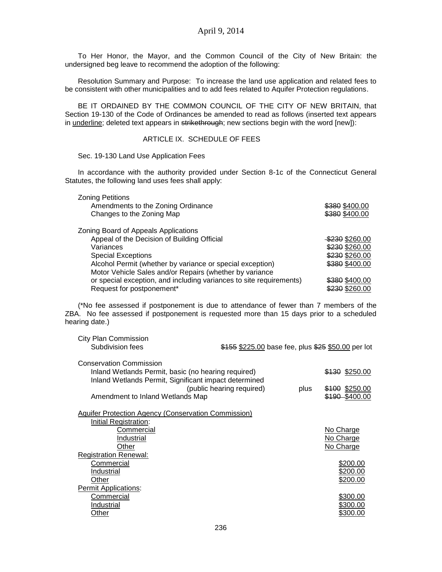To Her Honor, the Mayor, and the Common Council of the City of New Britain: the undersigned beg leave to recommend the adoption of the following:

Resolution Summary and Purpose: To increase the land use application and related fees to be consistent with other municipalities and to add fees related to Aquifer Protection regulations.

BE IT ORDAINED BY THE COMMON COUNCIL OF THE CITY OF NEW BRITAIN, that Section 19-130 of the Code of Ordinances be amended to read as follows (inserted text appears in underline; deleted text appears in strikethrough; new sections begin with the word [new]):

### ARTICLE IX. SCHEDULE OF FEES

Sec. 19-130 Land Use Application Fees

In accordance with the authority provided under Section 8-1c of the Connecticut General Statutes, the following land uses fees shall apply:

| <b>Zoning Petitions</b>                                             |                |
|---------------------------------------------------------------------|----------------|
| Amendments to the Zoning Ordinance                                  | \$380 \$400.00 |
| Changes to the Zoning Map                                           | \$380 \$400.00 |
| Zoning Board of Appeals Applications                                |                |
| Appeal of the Decision of Building Official                         | \$230 \$260.00 |
| Variances                                                           | \$230 \$260.00 |
| <b>Special Exceptions</b>                                           | \$230 \$260.00 |
| Alcohol Permit (whether by variance or special exception)           | \$380 \$400.00 |
| Motor Vehicle Sales and/or Repairs (whether by variance             |                |
| or special exception, and including variances to site requirements) | \$380 \$400.00 |
| Request for postponement*                                           | \$230 \$260.00 |

(\*No fee assessed if postponement is due to attendance of fewer than 7 members of the ZBA. No fee assessed if postponement is requested more than 15 days prior to a scheduled hearing date.)

| <b>City Plan Commission</b>                                |                                                    |      |                |
|------------------------------------------------------------|----------------------------------------------------|------|----------------|
| Subdivision fees                                           | \$155 \$225.00 base fee, plus \$25 \$50.00 per lot |      |                |
| <b>Conservation Commission</b>                             |                                                    |      |                |
| Inland Wetlands Permit, basic (no hearing required)        |                                                    |      | \$130 \$250.00 |
| Inland Wetlands Permit, Significant impact determined      |                                                    |      |                |
|                                                            | (public hearing required)                          | plus | \$100 \$250.00 |
| Amendment to Inland Wetlands Map                           |                                                    |      | \$190 \$400.00 |
|                                                            |                                                    |      |                |
| <b>Aquifer Protection Agency (Conservation Commission)</b> |                                                    |      |                |
| Initial Registration:                                      |                                                    |      |                |
| Commercial                                                 |                                                    |      | No Charge      |
| Industrial                                                 |                                                    |      | No Charge      |
| Other                                                      |                                                    |      | No Charge      |
| <b>Registration Renewal:</b>                               |                                                    |      |                |
| Commercial                                                 |                                                    |      | \$200.00       |
| Industrial                                                 |                                                    |      | \$200.00       |
| Other                                                      |                                                    |      | \$200.00       |
| Permit Applications:                                       |                                                    |      |                |
| Commercial                                                 |                                                    |      | \$300.00       |
| Industrial                                                 |                                                    |      | \$300.00       |
| Other                                                      |                                                    |      | \$300.00       |
|                                                            |                                                    |      |                |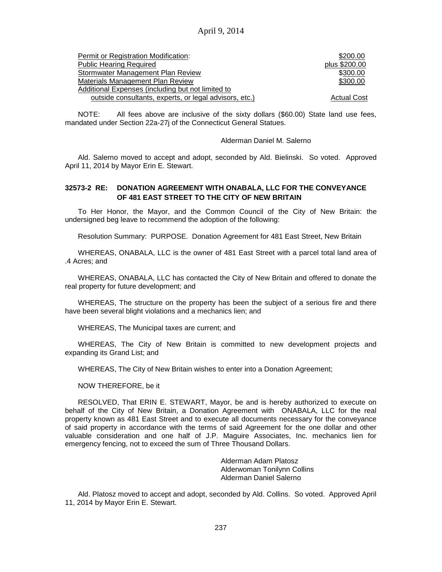| Permit or Registration Modification:                   | \$200.00           |
|--------------------------------------------------------|--------------------|
| <b>Public Hearing Required</b>                         | plus \$200.00      |
| Stormwater Management Plan Review                      | \$300.00           |
| Materials Management Plan Review                       | \$300.00           |
| Additional Expenses (including but not limited to      |                    |
| outside consultants, experts, or legal advisors, etc.) | <b>Actual Cost</b> |

NOTE: All fees above are inclusive of the sixty dollars (\$60.00) State land use fees, mandated under Section 22a-27j of the Connecticut General Statues.

#### Alderman Daniel M. Salerno

Ald. Salerno moved to accept and adopt, seconded by Ald. Bielinski. So voted. Approved April 11, 2014 by Mayor Erin E. Stewart.

### **32573-2 RE: DONATION AGREEMENT WITH ONABALA, LLC FOR THE CONVEYANCE OF 481 EAST STREET TO THE CITY OF NEW BRITAIN**

To Her Honor, the Mayor, and the Common Council of the City of New Britain: the undersigned beg leave to recommend the adoption of the following:

Resolution Summary: PURPOSE. Donation Agreement for 481 East Street, New Britain

WHEREAS, ONABALA, LLC is the owner of 481 East Street with a parcel total land area of .4 Acres; and

WHEREAS, ONABALA, LLC has contacted the City of New Britain and offered to donate the real property for future development; and

WHEREAS, The structure on the property has been the subject of a serious fire and there have been several blight violations and a mechanics lien; and

WHEREAS, The Municipal taxes are current; and

WHEREAS, The City of New Britain is committed to new development projects and expanding its Grand List; and

WHEREAS, The City of New Britain wishes to enter into a Donation Agreement;

NOW THEREFORE, be it

RESOLVED, That ERIN E. STEWART, Mayor, be and is hereby authorized to execute on behalf of the City of New Britain, a Donation Agreement with ONABALA, LLC for the real property known as 481 East Street and to execute all documents necessary for the conveyance of said property in accordance with the terms of said Agreement for the one dollar and other valuable consideration and one half of J.P. Maguire Associates, Inc. mechanics lien for emergency fencing, not to exceed the sum of Three Thousand Dollars.

> Alderman Adam Platosz Alderwoman Tonilynn Collins Alderman Daniel Salerno

Ald. Platosz moved to accept and adopt, seconded by Ald. Collins. So voted. Approved April 11, 2014 by Mayor Erin E. Stewart.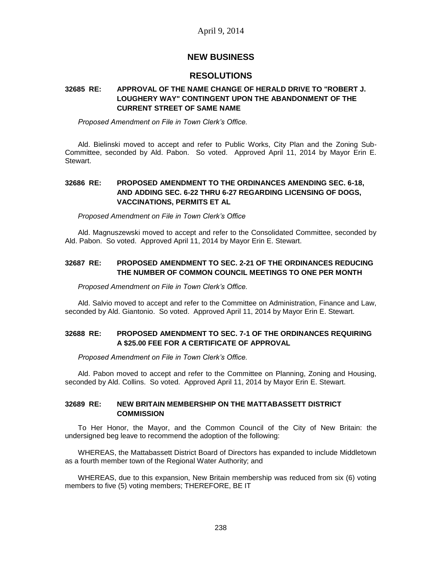# **NEW BUSINESS**

# **RESOLUTIONS**

### **32685 RE: APPROVAL OF THE NAME CHANGE OF HERALD DRIVE TO "ROBERT J. LOUGHERY WAY" CONTINGENT UPON THE ABANDONMENT OF THE CURRENT STREET OF SAME NAME**

*Proposed Amendment on File in Town Clerk's Office.*

Ald. Bielinski moved to accept and refer to Public Works, City Plan and the Zoning Sub-Committee, seconded by Ald. Pabon. So voted. Approved April 11, 2014 by Mayor Erin E. Stewart.

### **32686 RE: PROPOSED AMENDMENT TO THE ORDINANCES AMENDING SEC. 6-18, AND ADDING SEC. 6-22 THRU 6-27 REGARDING LICENSING OF DOGS, VACCINATIONS, PERMITS ET AL**

*Proposed Amendment on File in Town Clerk's Office*

Ald. Magnuszewski moved to accept and refer to the Consolidated Committee, seconded by Ald. Pabon. So voted. Approved April 11, 2014 by Mayor Erin E. Stewart.

### **32687 RE: PROPOSED AMENDMENT TO SEC. 2-21 OF THE ORDINANCES REDUCING THE NUMBER OF COMMON COUNCIL MEETINGS TO ONE PER MONTH**

*Proposed Amendment on File in Town Clerk's Office.*

Ald. Salvio moved to accept and refer to the Committee on Administration, Finance and Law, seconded by Ald. Giantonio. So voted. Approved April 11, 2014 by Mayor Erin E. Stewart.

### **32688 RE: PROPOSED AMENDMENT TO SEC. 7-1 OF THE ORDINANCES REQUIRING A \$25.00 FEE FOR A CERTIFICATE OF APPROVAL**

*Proposed Amendment on File in Town Clerk's Office.*

Ald. Pabon moved to accept and refer to the Committee on Planning, Zoning and Housing, seconded by Ald. Collins. So voted. Approved April 11, 2014 by Mayor Erin E. Stewart.

### **32689 RE: NEW BRITAIN MEMBERSHIP ON THE MATTABASSETT DISTRICT COMMISSION**

To Her Honor, the Mayor, and the Common Council of the City of New Britain: the undersigned beg leave to recommend the adoption of the following:

WHEREAS, the Mattabassett District Board of Directors has expanded to include Middletown as a fourth member town of the Regional Water Authority; and

WHEREAS, due to this expansion, New Britain membership was reduced from six (6) voting members to five (5) voting members; THEREFORE, BE IT